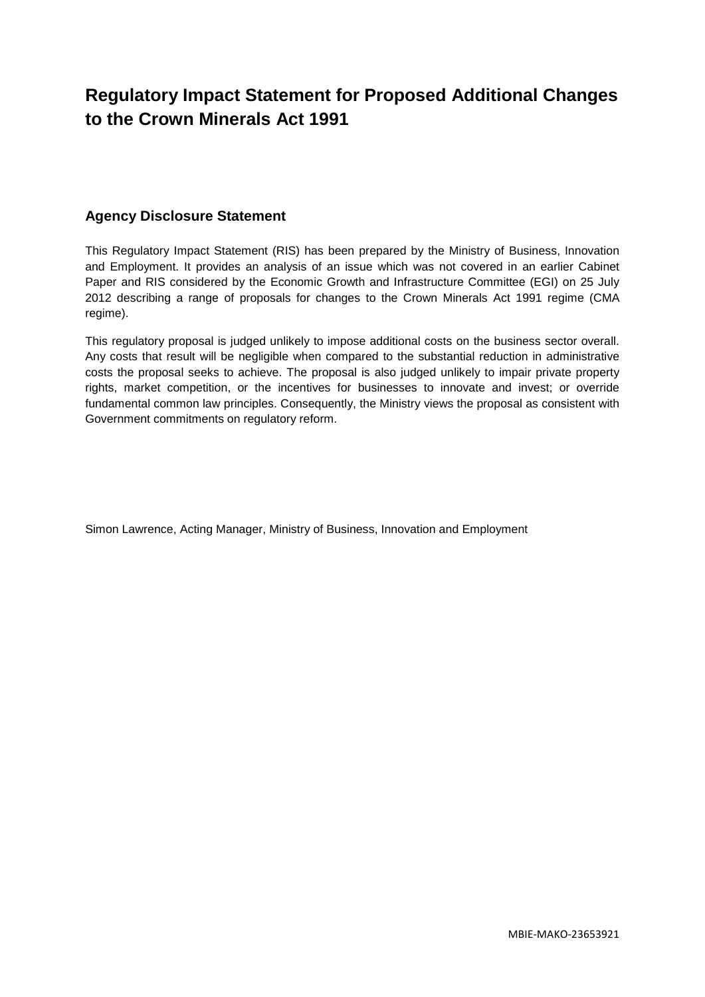# **Regulatory Impact Statement for Proposed Additional Changes to the Crown Minerals Act 1991**

### **Agency Disclosure Statement**

This Regulatory Impact Statement (RIS) has been prepared by the Ministry of Business, Innovation and Employment. It provides an analysis of an issue which was not covered in an earlier Cabinet Paper and RIS considered by the Economic Growth and Infrastructure Committee (EGI) on 25 July 2012 describing a range of proposals for changes to the Crown Minerals Act 1991 regime (CMA regime).

This regulatory proposal is judged unlikely to impose additional costs on the business sector overall. Any costs that result will be negligible when compared to the substantial reduction in administrative costs the proposal seeks to achieve. The proposal is also judged unlikely to impair private property rights, market competition, or the incentives for businesses to innovate and invest; or override fundamental common law principles. Consequently, the Ministry views the proposal as consistent with Government commitments on regulatory reform.

<span id="page-0-0"></span>Simon Lawrence, Acting Manager, Ministry of Business, Innovation and Employment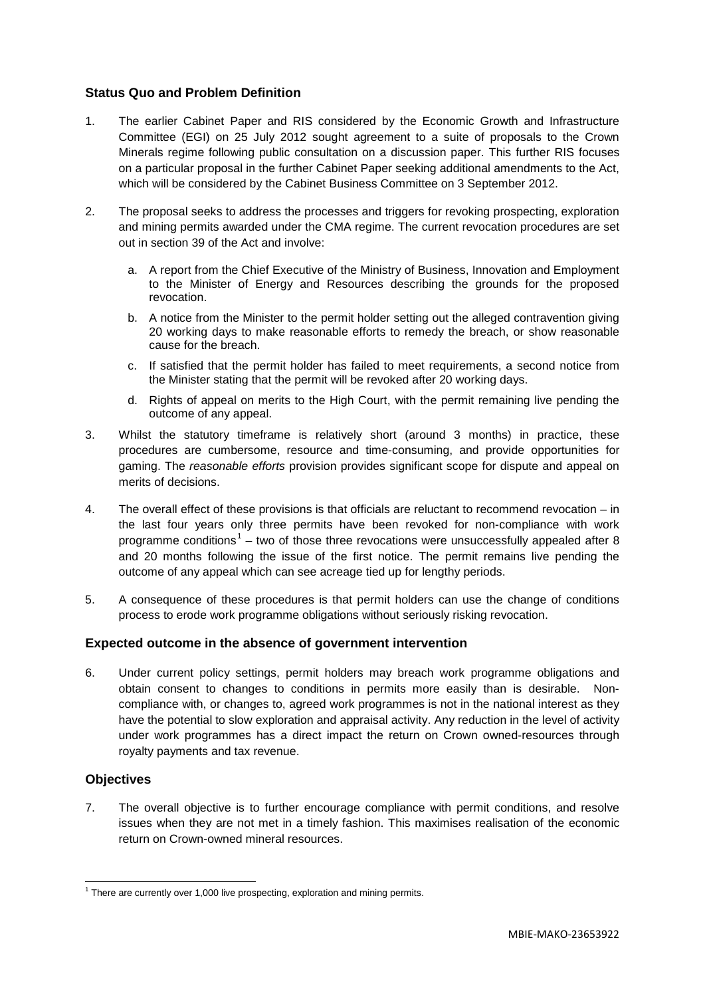#### **Status Quo and Problem Definition**

- 1. The earlier Cabinet Paper and RIS considered by the Economic Growth and Infrastructure Committee (EGI) on 25 July 2012 sought agreement to a suite of proposals to the Crown Minerals regime following public consultation on a discussion paper. This further RIS focuses on a particular proposal in the further Cabinet Paper seeking additional amendments to the Act, which will be considered by the Cabinet Business Committee on 3 September 2012.
- 2. The proposal seeks to address the processes and triggers for revoking prospecting, exploration and mining permits awarded under the CMA regime. The current revocation procedures are set out in section 39 of the Act and involve:
	- a. A report from the Chief Executive of the Ministry of Business, Innovation and Employment to the Minister of Energy and Resources describing the grounds for the proposed revocation.
	- b. A notice from the Minister to the permit holder setting out the alleged contravention giving 20 working days to make reasonable efforts to remedy the breach, or show reasonable cause for the breach.
	- c. If satisfied that the permit holder has failed to meet requirements, a second notice from the Minister stating that the permit will be revoked after 20 working days.
	- d. Rights of appeal on merits to the High Court, with the permit remaining live pending the outcome of any appeal.
- 3. Whilst the statutory timeframe is relatively short (around 3 months) in practice, these procedures are cumbersome, resource and time-consuming, and provide opportunities for gaming. The *reasonable efforts* provision provides significant scope for dispute and appeal on merits of decisions.
- 4. The overall effect of these provisions is that officials are reluctant to recommend revocation in the last four years only three permits have been revoked for non-compliance with work programme conditions<sup>[1](#page-0-0)</sup> – two of those three revocations were unsuccessfully appealed after 8 and 20 months following the issue of the first notice. The permit remains live pending the outcome of any appeal which can see acreage tied up for lengthy periods.
- 5. A consequence of these procedures is that permit holders can use the change of conditions process to erode work programme obligations without seriously risking revocation.

#### **Expected outcome in the absence of government intervention**

6. Under current policy settings, permit holders may breach work programme obligations and obtain consent to changes to conditions in permits more easily than is desirable. Noncompliance with, or changes to, agreed work programmes is not in the national interest as they have the potential to slow exploration and appraisal activity. Any reduction in the level of activity under work programmes has a direct impact the return on Crown owned-resources through royalty payments and tax revenue.

#### **Objectives**

7. The overall objective is to further encourage compliance with permit conditions, and resolve issues when they are not met in a timely fashion. This maximises realisation of the economic return on Crown-owned mineral resources.

 $1$  There are currently over 1,000 live prospecting, exploration and mining permits.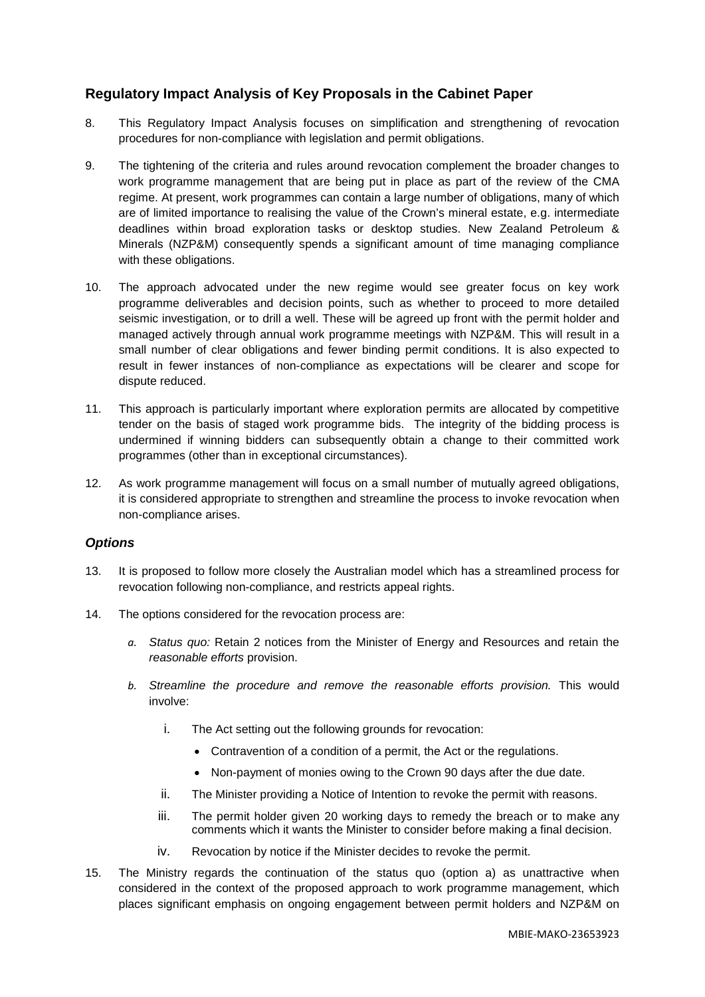## **Regulatory Impact Analysis of Key Proposals in the Cabinet Paper**

- 8. This Regulatory Impact Analysis focuses on simplification and strengthening of revocation procedures for non-compliance with legislation and permit obligations.
- 9. The tightening of the criteria and rules around revocation complement the broader changes to work programme management that are being put in place as part of the review of the CMA regime. At present, work programmes can contain a large number of obligations, many of which are of limited importance to realising the value of the Crown's mineral estate, e.g. intermediate deadlines within broad exploration tasks or desktop studies. New Zealand Petroleum & Minerals (NZP&M) consequently spends a significant amount of time managing compliance with these obligations.
- 10. The approach advocated under the new regime would see greater focus on key work programme deliverables and decision points, such as whether to proceed to more detailed seismic investigation, or to drill a well. These will be agreed up front with the permit holder and managed actively through annual work programme meetings with NZP&M. This will result in a small number of clear obligations and fewer binding permit conditions. It is also expected to result in fewer instances of non-compliance as expectations will be clearer and scope for dispute reduced.
- 11. This approach is particularly important where exploration permits are allocated by competitive tender on the basis of staged work programme bids. The integrity of the bidding process is undermined if winning bidders can subsequently obtain a change to their committed work programmes (other than in exceptional circumstances).
- 12. As work programme management will focus on a small number of mutually agreed obligations, it is considered appropriate to strengthen and streamline the process to invoke revocation when non-compliance arises.

#### *Options*

- 13. It is proposed to follow more closely the Australian model which has a streamlined process for revocation following non-compliance, and restricts appeal rights.
- 14. The options considered for the revocation process are:
	- *a. Status quo:* Retain 2 notices from the Minister of Energy and Resources and retain the *reasonable efforts* provision.
	- *b. Streamline the procedure and remove the reasonable efforts provision.* This would involve:
		- i. The Act setting out the following grounds for revocation:
			- Contravention of a condition of a permit, the Act or the regulations.
			- Non-payment of monies owing to the Crown 90 days after the due date.
		- ii. The Minister providing a Notice of Intention to revoke the permit with reasons.
		- iii. The permit holder given 20 working days to remedy the breach or to make any comments which it wants the Minister to consider before making a final decision.
		- iv. Revocation by notice if the Minister decides to revoke the permit.
- 15. The Ministry regards the continuation of the status quo (option a) as unattractive when considered in the context of the proposed approach to work programme management, which places significant emphasis on ongoing engagement between permit holders and NZP&M on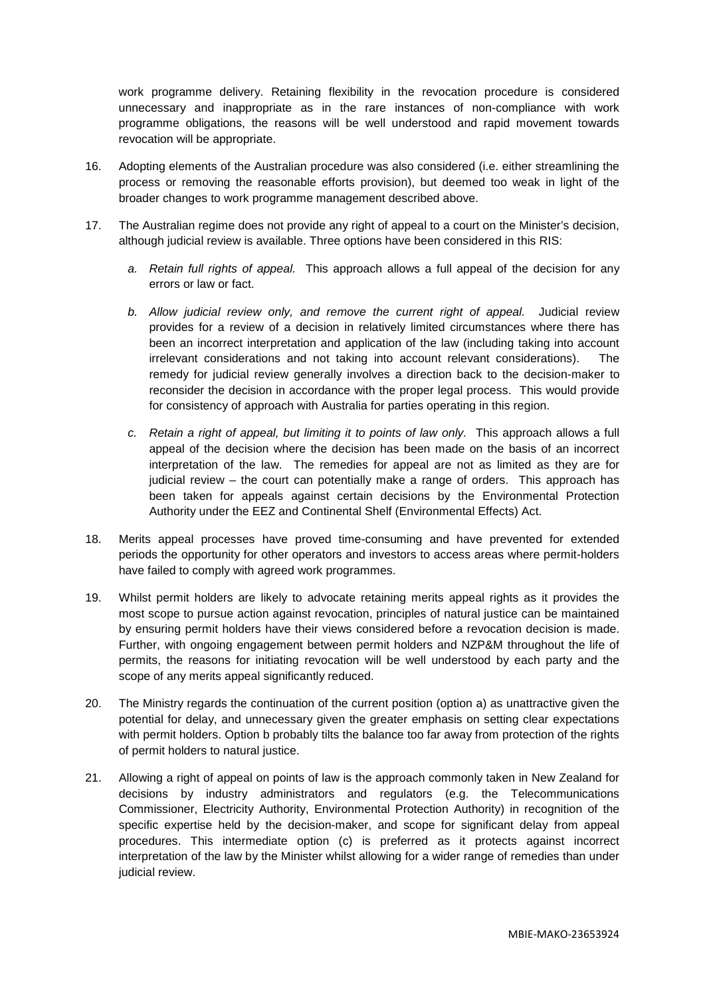work programme delivery. Retaining flexibility in the revocation procedure is considered unnecessary and inappropriate as in the rare instances of non-compliance with work programme obligations, the reasons will be well understood and rapid movement towards revocation will be appropriate.

- 16. Adopting elements of the Australian procedure was also considered (i.e. either streamlining the process or removing the reasonable efforts provision), but deemed too weak in light of the broader changes to work programme management described above.
- 17. The Australian regime does not provide any right of appeal to a court on the Minister's decision, although judicial review is available. Three options have been considered in this RIS:
	- *a. Retain full rights of appeal.* This approach allows a full appeal of the decision for any errors or law or fact.
	- *b. Allow judicial review only, and remove the current right of appeal.* Judicial review provides for a review of a decision in relatively limited circumstances where there has been an incorrect interpretation and application of the law (including taking into account irrelevant considerations and not taking into account relevant considerations). The remedy for judicial review generally involves a direction back to the decision-maker to reconsider the decision in accordance with the proper legal process. This would provide for consistency of approach with Australia for parties operating in this region.
	- *c. Retain a right of appeal, but limiting it to points of law only.* This approach allows a full appeal of the decision where the decision has been made on the basis of an incorrect interpretation of the law. The remedies for appeal are not as limited as they are for judicial review – the court can potentially make a range of orders. This approach has been taken for appeals against certain decisions by the Environmental Protection Authority under the EEZ and Continental Shelf (Environmental Effects) Act.
- 18. Merits appeal processes have proved time-consuming and have prevented for extended periods the opportunity for other operators and investors to access areas where permit-holders have failed to comply with agreed work programmes.
- 19. Whilst permit holders are likely to advocate retaining merits appeal rights as it provides the most scope to pursue action against revocation, principles of natural justice can be maintained by ensuring permit holders have their views considered before a revocation decision is made. Further, with ongoing engagement between permit holders and NZP&M throughout the life of permits, the reasons for initiating revocation will be well understood by each party and the scope of any merits appeal significantly reduced.
- 20. The Ministry regards the continuation of the current position (option a) as unattractive given the potential for delay, and unnecessary given the greater emphasis on setting clear expectations with permit holders. Option b probably tilts the balance too far away from protection of the rights of permit holders to natural justice.
- 21. Allowing a right of appeal on points of law is the approach commonly taken in New Zealand for decisions by industry administrators and regulators (e.g. the Telecommunications Commissioner, Electricity Authority, Environmental Protection Authority) in recognition of the specific expertise held by the decision-maker, and scope for significant delay from appeal procedures. This intermediate option (c) is preferred as it protects against incorrect interpretation of the law by the Minister whilst allowing for a wider range of remedies than under judicial review.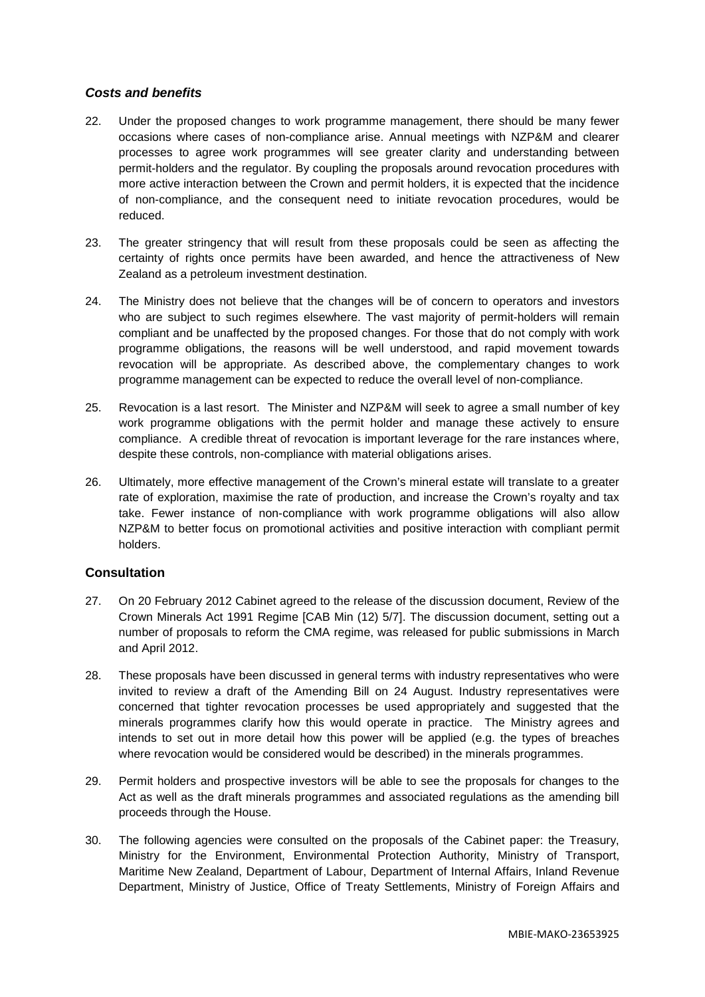#### *Costs and benefits*

- 22. Under the proposed changes to work programme management, there should be many fewer occasions where cases of non-compliance arise. Annual meetings with NZP&M and clearer processes to agree work programmes will see greater clarity and understanding between permit-holders and the regulator. By coupling the proposals around revocation procedures with more active interaction between the Crown and permit holders, it is expected that the incidence of non-compliance, and the consequent need to initiate revocation procedures, would be reduced.
- 23. The greater stringency that will result from these proposals could be seen as affecting the certainty of rights once permits have been awarded, and hence the attractiveness of New Zealand as a petroleum investment destination.
- 24. The Ministry does not believe that the changes will be of concern to operators and investors who are subject to such regimes elsewhere. The vast majority of permit-holders will remain compliant and be unaffected by the proposed changes. For those that do not comply with work programme obligations, the reasons will be well understood, and rapid movement towards revocation will be appropriate. As described above, the complementary changes to work programme management can be expected to reduce the overall level of non-compliance.
- 25. Revocation is a last resort. The Minister and NZP&M will seek to agree a small number of key work programme obligations with the permit holder and manage these actively to ensure compliance. A credible threat of revocation is important leverage for the rare instances where, despite these controls, non-compliance with material obligations arises.
- 26. Ultimately, more effective management of the Crown's mineral estate will translate to a greater rate of exploration, maximise the rate of production, and increase the Crown's royalty and tax take. Fewer instance of non-compliance with work programme obligations will also allow NZP&M to better focus on promotional activities and positive interaction with compliant permit holders.

#### **Consultation**

- 27. On 20 February 2012 Cabinet agreed to the release of the discussion document, Review of the Crown Minerals Act 1991 Regime [CAB Min (12) 5/7]. The discussion document, setting out a number of proposals to reform the CMA regime, was released for public submissions in March and April 2012.
- 28. These proposals have been discussed in general terms with industry representatives who were invited to review a draft of the Amending Bill on 24 August. Industry representatives were concerned that tighter revocation processes be used appropriately and suggested that the minerals programmes clarify how this would operate in practice. The Ministry agrees and intends to set out in more detail how this power will be applied (e.g. the types of breaches where revocation would be considered would be described) in the minerals programmes.
- 29. Permit holders and prospective investors will be able to see the proposals for changes to the Act as well as the draft minerals programmes and associated regulations as the amending bill proceeds through the House.
- 30. The following agencies were consulted on the proposals of the Cabinet paper: the Treasury, Ministry for the Environment, Environmental Protection Authority, Ministry of Transport, Maritime New Zealand, Department of Labour, Department of Internal Affairs, Inland Revenue Department, Ministry of Justice, Office of Treaty Settlements, Ministry of Foreign Affairs and